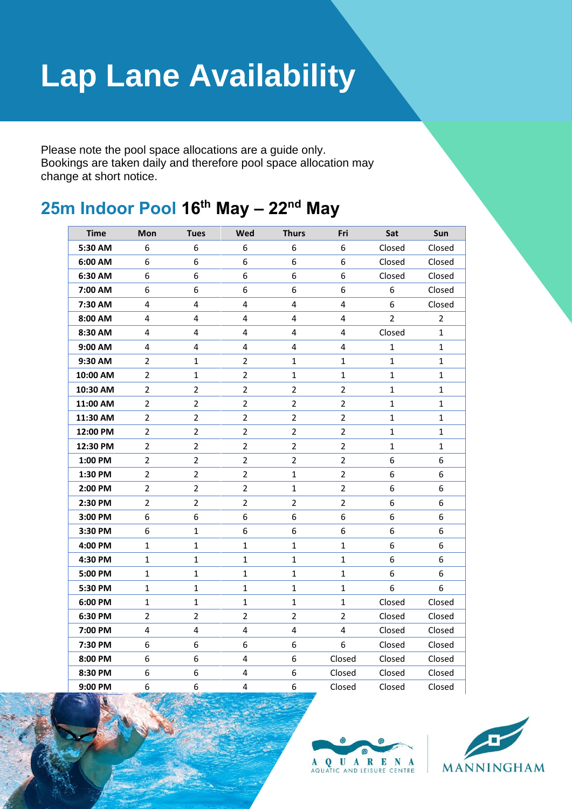## **Lap Lane Availability**

Please note the pool space allocations are a guide only. Bookings are taken daily and therefore pool space allocation may change at short notice.

## **25m Indoor Pool 16th May – 22nd May**

| <b>Time</b> | Mon            | <b>Tues</b>    | Wed                     | <b>Thurs</b>            | Fri            | Sat            | Sun            |
|-------------|----------------|----------------|-------------------------|-------------------------|----------------|----------------|----------------|
| 5:30 AM     | 6              | 6              | 6                       | $\boldsymbol{6}$        | 6              | Closed         | Closed         |
| 6:00 AM     | 6              | 6              | 6                       | 6                       | 6              | Closed         | Closed         |
| 6:30 AM     | 6              | 6              | 6                       | 6                       | 6              | Closed         | Closed         |
| 7:00 AM     | 6              | 6              | 6                       | 6                       | 6              | 6              | Closed         |
| 7:30 AM     | 4              | 4              | 4                       | 4                       | 4              | 6              | Closed         |
| 8:00 AM     | 4              | 4              | 4                       | 4                       | 4              | $\overline{2}$ | $\overline{2}$ |
| 8:30 AM     | 4              | 4              | 4                       | 4                       | 4              | Closed         | $\mathbf 1$    |
| 9:00 AM     | 4              | 4              | 4                       | $\overline{\mathbf{4}}$ | 4              | $\mathbf 1$    | $\mathbf{1}$   |
| 9:30 AM     | 2              | $\mathbf{1}$   | $\overline{2}$          | $\mathbf{1}$            | $\mathbf 1$    | $\mathbf{1}$   | $\mathbf{1}$   |
| 10:00 AM    | $\overline{2}$ | $\mathbf 1$    | $\overline{2}$          | $\mathbf{1}$            | $\mathbf 1$    | $\mathbf{1}$   | $\mathbf{1}$   |
| 10:30 AM    | 2              | $\overline{2}$ | $\overline{\mathbf{c}}$ | $\overline{2}$          | 2              | $\mathbf 1$    | $\mathbf 1$    |
| 11:00 AM    | $\overline{2}$ | $\overline{2}$ | $\overline{2}$          | $\overline{2}$          | $\overline{2}$ | $\mathbf 1$    | $\mathbf{1}$   |
| 11:30 AM    | $\overline{2}$ | $\overline{2}$ | $\overline{2}$          | $\overline{2}$          | 2              | $\mathbf{1}$   | $\mathbf{1}$   |
| 12:00 PM    | $\overline{2}$ | $\overline{2}$ | $\overline{2}$          | $\overline{2}$          | $\overline{2}$ | $\mathbf{1}$   | $\mathbf 1$    |
| 12:30 PM    | $\overline{2}$ | $\overline{2}$ | $\overline{2}$          | $\overline{2}$          | $\overline{2}$ | 1              | 1              |
| 1:00 PM     | $\overline{2}$ | $\overline{2}$ | $\overline{2}$          | $\overline{2}$          | $\overline{2}$ | 6              | 6              |
| 1:30 PM     | $\overline{2}$ | $\overline{2}$ | $\overline{2}$          | $\mathbf{1}$            | $\overline{2}$ | 6              | 6              |
| 2:00 PM     | $\overline{2}$ | $\overline{2}$ | $\overline{2}$          | $\mathbf{1}$            | $\overline{2}$ | 6              | 6              |
| 2:30 PM     | 2              | $\overline{2}$ | $\overline{2}$          | $\overline{2}$          | 2              | 6              | 6              |
| 3:00 PM     | 6              | 6              | 6                       | 6                       | 6              | 6              | 6              |
| 3:30 PM     | 6              | $\mathbf{1}$   | 6                       | 6                       | 6              | 6              | 6              |
| 4:00 PM     | $\mathbf 1$    | $\mathbf{1}$   | $\mathbf{1}$            | $\mathbf{1}$            | $\mathbf 1$    | 6              | 6              |
| 4:30 PM     | $\mathbf 1$    | $\mathbf 1$    | $\mathbf 1$             | $\mathbf{1}$            | $\mathbf 1$    | 6              | 6              |
| 5:00 PM     | 1              | $\mathbf{1}$   | 1                       | $\mathbf{1}$            | 1              | 6              | 6              |
| 5:30 PM     | $\mathbf{1}$   | $\mathbf{1}$   | $\mathbf{1}$            | $\mathbf{1}$            | 1              | 6              | 6              |
| 6:00 PM     | 1              | $\mathbf{1}$   | $\mathbf{1}$            | $\mathbf{1}$            | $\mathbf 1$    | Closed         | Closed         |
| 6:30 PM     | $\overline{2}$ | $\overline{2}$ | $\overline{2}$          | $\overline{2}$          | $\overline{2}$ | Closed         | Closed         |
| 7:00 PM     | 4              | 4              | 4                       | 4                       | 4              | Closed         | Closed         |
| 7:30 PM     | 6              | 6              | 6                       | 6                       | 6              | Closed         | Closed         |
| 8:00 PM     | 6              | 6              | 4                       | $\boldsymbol{6}$        | Closed         | Closed         | Closed         |
| 8:30 PM     | 6              | 6              | 4                       | 6                       | Closed         | Closed         | Closed         |
| 9:00 PM     | 6              | 6              | 4                       | 6                       | Closed         | Closed         | Closed         |